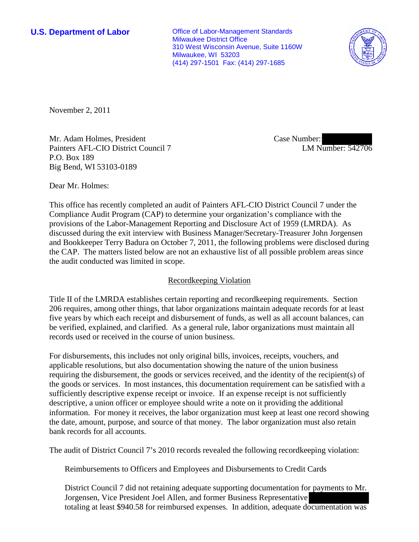**U.S. Department of Labor Conservative Conservative Conservative Conservative Conservative Conservative Conservative Conservative Conservative Conservative Conservative Conservative Conservative Conservative Conservative** Milwaukee District Office 310 West Wisconsin Avenue, Suite 1160W Milwaukee, WI 53203 (414) 297-1501 Fax: (414) 297-1685



November 2, 2011

Mr. Adam Holmes, President Painters AFL-CIO District Council 7 P.O. Box 189 Big Bend, WI 53103-0189

Case Number: LM Number: 542706

Dear Mr. Holmes:

This office has recently completed an audit of Painters AFL-CIO District Council 7 under the Compliance Audit Program (CAP) to determine your organization's compliance with the provisions of the Labor-Management Reporting and Disclosure Act of 1959 (LMRDA). As discussed during the exit interview with Business Manager/Secretary-Treasurer John Jorgensen and Bookkeeper Terry Badura on October 7, 2011, the following problems were disclosed during the CAP. The matters listed below are not an exhaustive list of all possible problem areas since the audit conducted was limited in scope.

## Recordkeeping Violation

Title II of the LMRDA establishes certain reporting and recordkeeping requirements. Section 206 requires, among other things, that labor organizations maintain adequate records for at least five years by which each receipt and disbursement of funds, as well as all account balances, can be verified, explained, and clarified. As a general rule, labor organizations must maintain all records used or received in the course of union business.

For disbursements, this includes not only original bills, invoices, receipts, vouchers, and applicable resolutions, but also documentation showing the nature of the union business requiring the disbursement, the goods or services received, and the identity of the recipient(s) of the goods or services. In most instances, this documentation requirement can be satisfied with a sufficiently descriptive expense receipt or invoice. If an expense receipt is not sufficiently descriptive, a union officer or employee should write a note on it providing the additional information. For money it receives, the labor organization must keep at least one record showing the date, amount, purpose, and source of that money. The labor organization must also retain bank records for all accounts.

The audit of District Council 7's 2010 records revealed the following recordkeeping violation:

Reimbursements to Officers and Employees and Disbursements to Credit Cards

District Council 7 did not retaining adequate supporting documentation for payments to Mr. Jorgensen, Vice President Joel Allen, and former Business Representative totaling at least \$940.58 for reimbursed expenses. In addition, adequate documentation was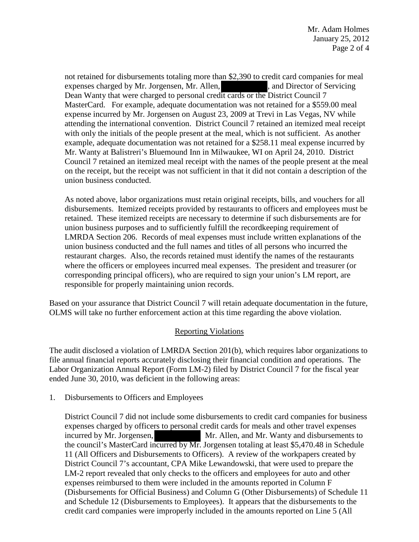Mr. Adam Holmes January 25, 2012 Page 2 of 4

not retained for disbursements totaling more than \$2,390 to credit card companies for meal expenses charged by Mr. Jorgensen, Mr. Allen, https://www.and Director of Servicing Dean Wanty that were charged to personal credit cards or the District Council 7 MasterCard. For example, adequate documentation was not retained for a \$559.00 meal expense incurred by Mr. Jorgensen on August 23, 2009 at Trevi in Las Vegas, NV while attending the international convention. District Council 7 retained an itemized meal receipt with only the initials of the people present at the meal, which is not sufficient. As another example, adequate documentation was not retained for a \$258.11 meal expense incurred by Mr. Wanty at Balistreri's Bluemound Inn in Milwaukee, WI on April 24, 2010. District Council 7 retained an itemized meal receipt with the names of the people present at the meal on the receipt, but the receipt was not sufficient in that it did not contain a description of the union business conducted.

As noted above, labor organizations must retain original receipts, bills, and vouchers for all disbursements. Itemized receipts provided by restaurants to officers and employees must be retained. These itemized receipts are necessary to determine if such disbursements are for union business purposes and to sufficiently fulfill the recordkeeping requirement of LMRDA Section 206. Records of meal expenses must include written explanations of the union business conducted and the full names and titles of all persons who incurred the restaurant charges. Also, the records retained must identify the names of the restaurants where the officers or employees incurred meal expenses. The president and treasurer (or corresponding principal officers), who are required to sign your union's LM report, are responsible for properly maintaining union records.

Based on your assurance that District Council 7 will retain adequate documentation in the future, OLMS will take no further enforcement action at this time regarding the above violation.

## Reporting Violations

The audit disclosed a violation of LMRDA Section 201(b), which requires labor organizations to file annual financial reports accurately disclosing their financial condition and operations. The Labor Organization Annual Report (Form LM-2) filed by District Council 7 for the fiscal year ended June 30, 2010, was deficient in the following areas:

1. Disbursements to Officers and Employees

District Council 7 did not include some disbursements to credit card companies for business expenses charged by officers to personal credit cards for meals and other travel expenses incurred by Mr. Jorgensen, Mr. Allen, and Mr. Wanty and disbursements to the council's MasterCard incurred by Mr. Jorgensen totaling at least \$5,470.48 in Schedule 11 (All Officers and Disbursements to Officers). A review of the workpapers created by District Council 7's accountant, CPA Mike Lewandowski, that were used to prepare the LM-2 report revealed that only checks to the officers and employees for auto and other expenses reimbursed to them were included in the amounts reported in Column F (Disbursements for Official Business) and Column G (Other Disbursements) of Schedule 11 and Schedule 12 (Disbursements to Employees). It appears that the disbursements to the credit card companies were improperly included in the amounts reported on Line 5 (All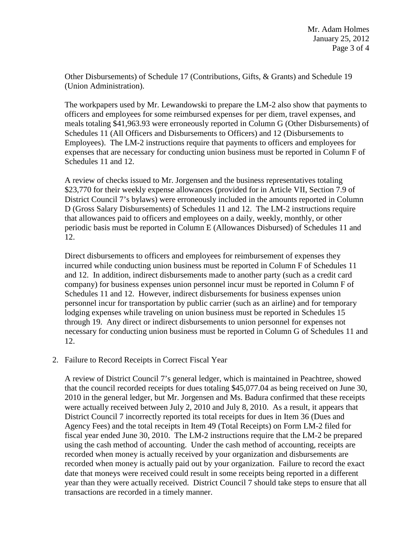Other Disbursements) of Schedule 17 (Contributions, Gifts, & Grants) and Schedule 19 (Union Administration).

The workpapers used by Mr. Lewandowski to prepare the LM-2 also show that payments to officers and employees for some reimbursed expenses for per diem, travel expenses, and meals totaling \$41,963.93 were erroneously reported in Column G (Other Disbursements) of Schedules 11 (All Officers and Disbursements to Officers) and 12 (Disbursements to Employees). The LM-2 instructions require that payments to officers and employees for expenses that are necessary for conducting union business must be reported in Column F of Schedules 11 and 12.

A review of checks issued to Mr. Jorgensen and the business representatives totaling \$23,770 for their weekly expense allowances (provided for in Article VII, Section 7.9 of District Council 7's bylaws) were erroneously included in the amounts reported in Column D (Gross Salary Disbursements) of Schedules 11 and 12. The LM-2 instructions require that allowances paid to officers and employees on a daily, weekly, monthly, or other periodic basis must be reported in Column E (Allowances Disbursed) of Schedules 11 and 12.

Direct disbursements to officers and employees for reimbursement of expenses they incurred while conducting union business must be reported in Column F of Schedules 11 and 12. In addition, indirect disbursements made to another party (such as a credit card company) for business expenses union personnel incur must be reported in Column F of Schedules 11 and 12. However, indirect disbursements for business expenses union personnel incur for transportation by public carrier (such as an airline) and for temporary lodging expenses while traveling on union business must be reported in Schedules 15 through 19. Any direct or indirect disbursements to union personnel for expenses not necessary for conducting union business must be reported in Column G of Schedules 11 and 12.

2. Failure to Record Receipts in Correct Fiscal Year

A review of District Council 7's general ledger, which is maintained in Peachtree, showed that the council recorded receipts for dues totaling \$45,077.04 as being received on June 30, 2010 in the general ledger, but Mr. Jorgensen and Ms. Badura confirmed that these receipts were actually received between July 2, 2010 and July 8, 2010. As a result, it appears that District Council 7 incorrectly reported its total receipts for dues in Item 36 (Dues and Agency Fees) and the total receipts in Item 49 (Total Receipts) on Form LM-2 filed for fiscal year ended June 30, 2010. The LM-2 instructions require that the LM-2 be prepared using the cash method of accounting. Under the cash method of accounting, receipts are recorded when money is actually received by your organization and disbursements are recorded when money is actually paid out by your organization. Failure to record the exact date that moneys were received could result in some receipts being reported in a different year than they were actually received. District Council 7 should take steps to ensure that all transactions are recorded in a timely manner.